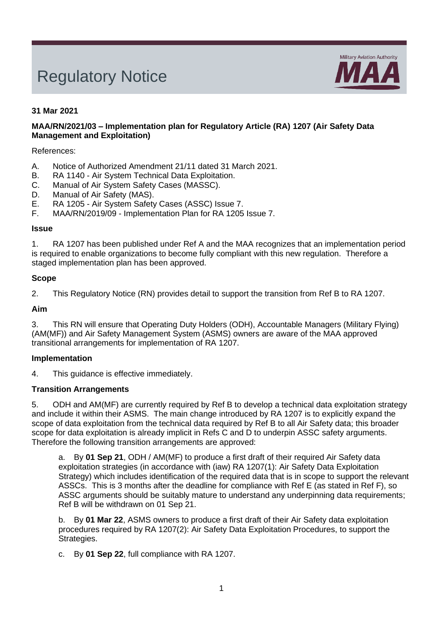# Regulatory Notice



# **31 Mar 2021**

## **MAA/RN/2021/03 – Implementation plan for Regulatory Article (RA) 1207 (Air Safety Data Management and Exploitation)**

## References:

- A. Notice of Authorized Amendment 21/11 dated 31 March 2021.<br>B. RA 1140 Air System Technical Data Exploitation.
- B. RA 1140 Air System Technical Data Exploitation.<br>C. Manual of Air System Safety Cases (MASSC).
- Manual of Air System Safety Cases (MASSC).
- D. Manual of Air Safety (MAS).
- E. RA 1205 Air System Safety Cases (ASSC) Issue 7.
- F. MAA/RN/2019/09 Implementation Plan for RA 1205 Issue 7.

#### **Issue**

1. RA 1207 has been published under Ref A and the MAA recognizes that an implementation period is required to enable organizations to become fully compliant with this new regulation. Therefore a staged implementation plan has been approved.

#### **Scope**

2. This Regulatory Notice (RN) provides detail to support the transition from Ref B to RA 1207.

## **Aim**

3. This RN will ensure that Operating Duty Holders (ODH), Accountable Managers (Military Flying) (AM(MF)) and Air Safety Management System (ASMS) owners are aware of the MAA approved transitional arrangements for implementation of RA 1207.

#### **Implementation**

4. This guidance is effective immediately.

#### **Transition Arrangements**

5. ODH and AM(MF) are currently required by Ref B to develop a technical data exploitation strategy and include it within their ASMS. The main change introduced by RA 1207 is to explicitly expand the scope of data exploitation from the technical data required by Ref B to all Air Safety data; this broader scope for data exploitation is already implicit in Refs C and D to underpin ASSC safety arguments. Therefore the following transition arrangements are approved:

a. By **01 Sep 21**, ODH / AM(MF) to produce a first draft of their required Air Safety data exploitation strategies (in accordance with (iaw) RA 1207(1): Air Safety Data Exploitation Strategy) which includes identification of the required data that is in scope to support the relevant ASSCs. This is 3 months after the deadline for compliance with Ref E (as stated in Ref F), so ASSC arguments should be suitably mature to understand any underpinning data requirements; Ref B will be withdrawn on 01 Sep 21.

b. By **01 Mar 22**, ASMS owners to produce a first draft of their Air Safety data exploitation procedures required by RA 1207(2): Air Safety Data Exploitation Procedures, to support the Strategies.

c. By **01 Sep 22**, full compliance with RA 1207.